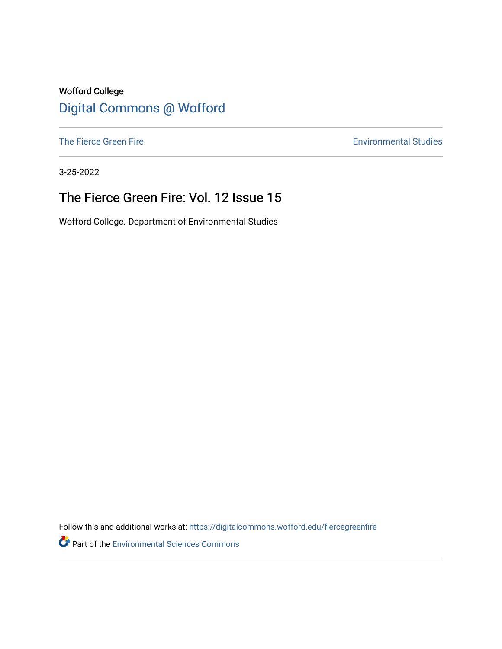#### Wofford College [Digital Commons @ Wofford](https://digitalcommons.wofford.edu/)

[The Fierce Green Fire](https://digitalcommons.wofford.edu/fiercegreenfire) **Environmental Studies** 

3-25-2022

### The Fierce Green Fire: Vol. 12 Issue 15

Wofford College. Department of Environmental Studies

Follow this and additional works at: [https://digitalcommons.wofford.edu/fiercegreenfire](https://digitalcommons.wofford.edu/fiercegreenfire?utm_source=digitalcommons.wofford.edu%2Ffiercegreenfire%2F282&utm_medium=PDF&utm_campaign=PDFCoverPages) 

**Part of the [Environmental Sciences Commons](http://network.bepress.com/hgg/discipline/167?utm_source=digitalcommons.wofford.edu%2Ffiercegreenfire%2F282&utm_medium=PDF&utm_campaign=PDFCoverPages)**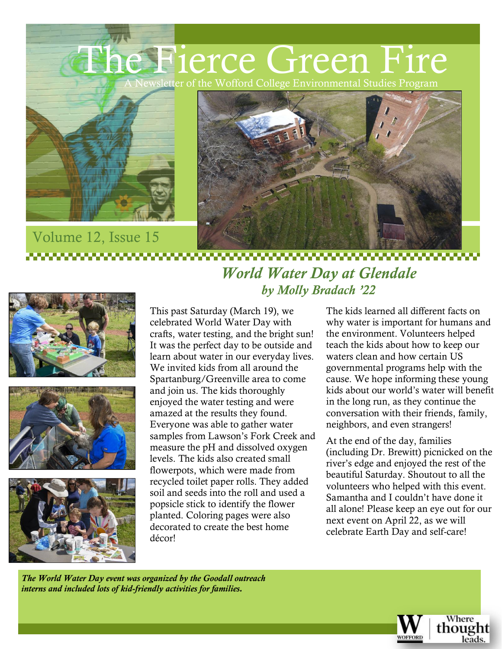### The Fierce Green Fire ewsletter of the Wofford College Environmental Studies Program





# Volume 12, Issue 15 *World Water Day at Glendale*







# *by Molly Bradach '22*

This past Saturday (March 19), we celebrated World Water Day with crafts, water testing, and the bright sun! It was the perfect day to be outside and learn about water in our everyday lives. We invited kids from all around the Spartanburg/Greenville area to come and join us. The kids thoroughly enjoyed the water testing and were amazed at the results they found. Everyone was able to gather water samples from Lawson's Fork Creek and measure the pH and dissolved oxygen levels. The kids also created small flowerpots, which were made from recycled toilet paper rolls. They added soil and seeds into the roll and used a popsicle stick to identify the flower planted. Coloring pages were also decorated to create the best home décor!

The kids learned all different facts on why water is important for humans and the environment. Volunteers helped teach the kids about how to keep our waters clean and how certain US governmental programs help with the cause. We hope informing these young kids about our world's water will benefit in the long run, as they continue the conversation with their friends, family, neighbors, and even strangers!

At the end of the day, families (including Dr. Brewitt) picnicked on the river's edge and enjoyed the rest of the beautiful Saturday. Shoutout to all the volunteers who helped with this event. Samantha and I couldn't have done it all alone! Please keep an eye out for our next event on April 22, as we will celebrate Earth Day and self-care!

*The World Water Day event was organized by the Goodall outreach interns and included lots of kid-friendly activities for families.*